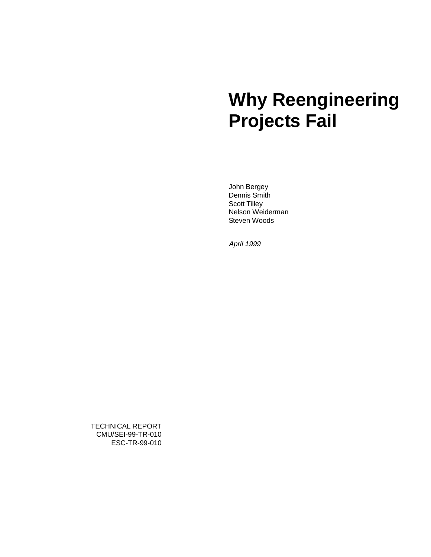# **Why Reengineering Projects Fail**

John Bergey Dennis Smith Scott Tilley Nelson Weiderman Steven Woods

April 1999

TECHNICAL REPORT CMU/SEI-99-TR-010 ESC-TR-99-010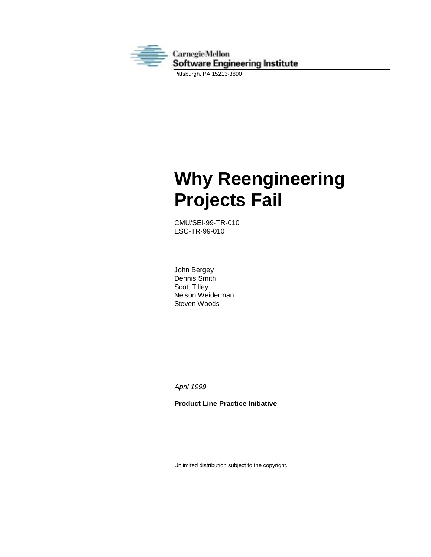

Pittsburgh, PA 15213-3890

# **Why Reengineering Projects Fail**

CMU/SEI-99-TR-010 ESC-TR-99-010

John Bergey Dennis Smith Scott Tilley Nelson Weiderman Steven Woods

April 1999

**Product Line Practice Initiative**

Unlimited distribution subject to the copyright.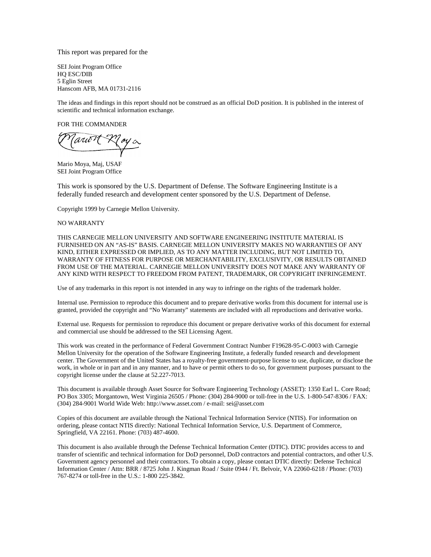This report was prepared for the

SEI Joint Program Office HQ ESC/DIB 5 Eglin Street Hanscom AFB, MA 01731-2116

The ideas and findings in this report should not be construed as an official DoD position. It is published in the interest of scientific and technical information exchange.

FOR THE COMMANDER

'arioT

Mario Moya, Maj, USAF SEI Joint Program Office

This work is sponsored by the U.S. Department of Defense. The Software Engineering Institute is a federally funded research and development center sponsored by the U.S. Department of Defense.

Copyright 1999 by Carnegie Mellon University.

#### NO WARRANTY

THIS CARNEGIE MELLON UNIVERSITY AND SOFTWARE ENGINEERING INSTITUTE MATERIAL IS FURNISHED ON AN "AS-IS" BASIS. CARNEGIE MELLON UNIVERSITY MAKES NO WARRANTIES OF ANY KIND, EITHER EXPRESSED OR IMPLIED, AS TO ANY MATTER INCLUDING, BUT NOT LIMITED TO, WARRANTY OF FITNESS FOR PURPOSE OR MERCHANTABILITY, EXCLUSIVITY, OR RESULTS OBTAINED FROM USE OF THE MATERIAL. CARNEGIE MELLON UNIVERSITY DOES NOT MAKE ANY WARRANTY OF ANY KIND WITH RESPECT TO FREEDOM FROM PATENT, TRADEMARK, OR COPYRIGHT INFRINGEMENT.

Use of any trademarks in this report is not intended in any way to infringe on the rights of the trademark holder.

Internal use. Permission to reproduce this document and to prepare derivative works from this document for internal use is granted, provided the copyright and "No Warranty" statements are included with all reproductions and derivative works.

External use. Requests for permission to reproduce this document or prepare derivative works of this document for external and commercial use should be addressed to the SEI Licensing Agent.

This work was created in the performance of Federal Government Contract Number F19628-95-C-0003 with Carnegie Mellon University for the operation of the Software Engineering Institute, a federally funded research and development center. The Government of the United States has a royalty-free government-purpose license to use, duplicate, or disclose the work, in whole or in part and in any manner, and to have or permit others to do so, for government purposes pursuant to the copyright license under the clause at 52.227-7013.

This document is available through Asset Source for Software Engineering Technology (ASSET): 1350 Earl L. Core Road; PO Box 3305; Morgantown, West Virginia 26505 / Phone: (304) 284-9000 or toll-free in the U.S. 1-800-547-8306 / FAX: (304) 284-9001 World Wide Web: http://www.asset.com / e-mail: sei@asset.com

Copies of this document are available through the National Technical Information Service (NTIS). For information on ordering, please contact NTIS directly: National Technical Information Service, U.S. Department of Commerce, Springfield, VA 22161. Phone: (703) 487-4600.

This document is also available through the Defense Technical Information Center (DTIC). DTIC provides access to and transfer of scientific and technical information for DoD personnel, DoD contractors and potential contractors, and other U.S. Government agency personnel and their contractors. To obtain a copy, please contact DTIC directly: Defense Technical Information Center / Attn: BRR / 8725 John J. Kingman Road / Suite 0944 / Ft. Belvoir, VA 22060-6218 / Phone: (703) 767-8274 or toll-free in the U.S.: 1-800 225-3842.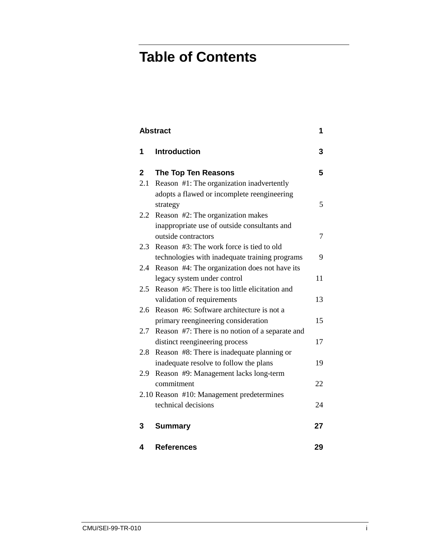## **Table of Contents**

| <b>Abstract</b><br>1 |                                                 |    |  |  |
|----------------------|-------------------------------------------------|----|--|--|
| 1                    | <b>Introduction</b>                             | 3  |  |  |
| $\mathbf{2}$         | <b>The Top Ten Reasons</b>                      | 5  |  |  |
| 2.1                  | Reason #1: The organization inadvertently       |    |  |  |
|                      | adopts a flawed or incomplete reengineering     |    |  |  |
|                      | strategy                                        | 5  |  |  |
| $2.2^{\circ}$        | Reason #2: The organization makes               |    |  |  |
|                      | inappropriate use of outside consultants and    |    |  |  |
|                      | outside contractors                             | 7  |  |  |
| 2.3                  | Reason #3: The work force is tied to old        |    |  |  |
|                      | technologies with inadequate training programs  | 9  |  |  |
| 2.4                  | Reason #4: The organization does not have its   |    |  |  |
|                      | legacy system under control                     | 11 |  |  |
| $2.5^{\circ}$        | Reason #5: There is too little elicitation and  |    |  |  |
|                      | validation of requirements                      | 13 |  |  |
| 2.6                  | Reason #6: Software architecture is not a       |    |  |  |
|                      | primary reengineering consideration             | 15 |  |  |
| 2.7                  | Reason #7: There is no notion of a separate and |    |  |  |
|                      | distinct reengineering process                  | 17 |  |  |
| 2.8                  | Reason #8: There is inadequate planning or      |    |  |  |
|                      | inadequate resolve to follow the plans          | 19 |  |  |
| 2.9                  | Reason #9: Management lacks long-term           |    |  |  |
|                      | commitment                                      | 22 |  |  |
|                      | 2.10 Reason #10: Management predetermines       |    |  |  |
|                      | technical decisions                             | 24 |  |  |
| 3                    | <b>Summary</b>                                  | 27 |  |  |
| 4                    | <b>References</b>                               | 29 |  |  |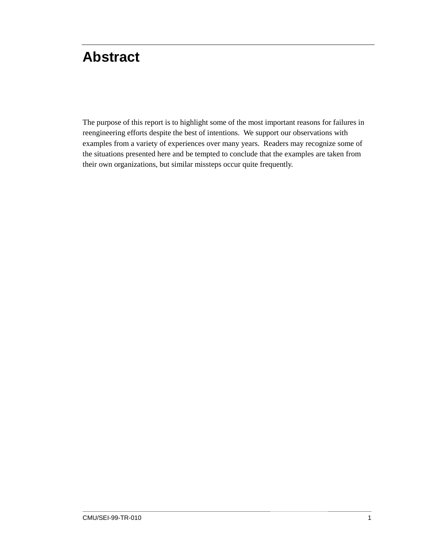## <span id="page-6-0"></span>**Abstract**

The purpose of this report is to highlight some of the most important reasons for failures in reengineering efforts despite the best of intentions. We support our observations with examples from a variety of experiences over many years. Readers may recognize some of the situations presented here and be tempted to conclude that the examples are taken from their own organizations, but similar missteps occur quite frequently.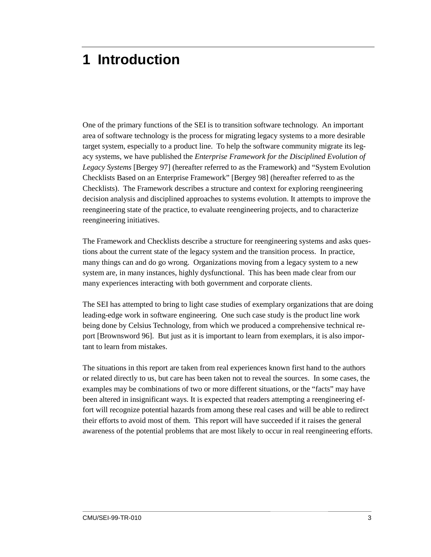## <span id="page-8-0"></span>**1 Introduction**

One of the primary functions of the SEI is to transition software technology. An important area of software technology is the process for migrating legacy systems to a more desirable target system, especially to a product line. To help the software community migrate its legacy systems, we have published the *Enterprise Framework for the Disciplined Evolution of Legacy Systems* [Bergey 97] (hereafter referred to as the Framework) and "System Evolution Checklists Based on an Enterprise Framework" [Bergey 98] (hereafter referred to as the Checklists). The Framework describes a structure and context for exploring reengineering decision analysis and disciplined approaches to systems evolution. It attempts to improve the reengineering state of the practice, to evaluate reengineering projects, and to characterize reengineering initiatives.

The Framework and Checklists describe a structure for reengineering systems and asks questions about the current state of the legacy system and the transition process. In practice, many things can and do go wrong. Organizations moving from a legacy system to a new system are, in many instances, highly dysfunctional. This has been made clear from our many experiences interacting with both government and corporate clients.

The SEI has attempted to bring to light case studies of exemplary organizations that are doing leading-edge work in software engineering. One such case study is the product line work being done by Celsius Technology, from which we produced a comprehensive technical report [Brownsword 96]. But just as it is important to learn from exemplars, it is also important to learn from mistakes.

The situations in this report are taken from real experiences known first hand to the authors or related directly to us, but care has been taken not to reveal the sources. In some cases, the examples may be combinations of two or more different situations, or the "facts" may have been altered in insignificant ways. It is expected that readers attempting a reengineering effort will recognize potential hazards from among these real cases and will be able to redirect their efforts to avoid most of them. This report will have succeeded if it raises the general awareness of the potential problems that are most likely to occur in real reengineering efforts.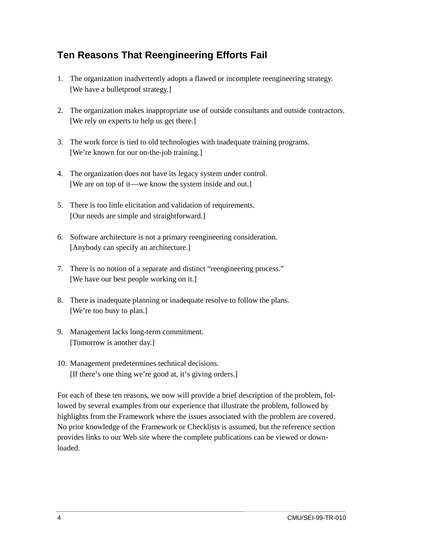### **Ten Reasons That Reengineering Efforts Fail**

- 1. The organization inadvertently adopts a flawed or incomplete reengineering strategy. [We have a bulletproof strategy.]
- 2. The organization makes inappropriate use of outside consultants and outside contractors. [We rely on experts to help us get there.]
- 3. The work force is tied to old technologies with inadequate training programs. [We're known for our on-the-job training.]
- 4. The organization does not have its legacy system under control. [We are on top of it—we know the system inside and out.]
- 5. There is too little elicitation and validation of requirements. [Our needs are simple and straightforward.]
- 6. Software architecture is not a primary reengineering consideration. [Anybody can specify an architecture.]
- 7. There is no notion of a separate and distinct "reengineering process." [We have our best people working on it.]
- 8. There is inadequate planning or inadequate resolve to follow the plans. [We're too busy to plan.]
- 9. Management lacks long-term commitment. [Tomorrow is another day.]
- 10. Management predetermines technical decisions. [If there's one thing we're good at, it's giving orders.]

For each of these ten reasons, we now will provide a brief description of the problem, followed by several examples from our experience that illustrate the problem, followed by highlights from the Framework where the issues associated with the problem are covered. No prior knowledge of the Framework or Checklists is assumed, but the reference section provides links to our Web site where the complete publications can be viewed or downloaded.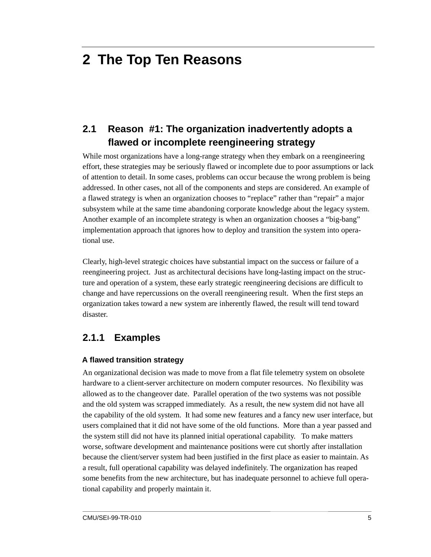## <span id="page-10-0"></span>**2 The Top Ten Reasons**

### **2.1 Reason #1: The organization inadvertently adopts a flawed or incomplete reengineering strategy**

While most organizations have a long-range strategy when they embark on a reengineering effort, these strategies may be seriously flawed or incomplete due to poor assumptions or lack of attention to detail. In some cases, problems can occur because the wrong problem is being addressed. In other cases, not all of the components and steps are considered. An example of a flawed strategy is when an organization chooses to "replace" rather than "repair" a major subsystem while at the same time abandoning corporate knowledge about the legacy system. Another example of an incomplete strategy is when an organization chooses a "big-bang" implementation approach that ignores how to deploy and transition the system into operational use.

Clearly, high-level strategic choices have substantial impact on the success or failure of a reengineering project. Just as architectural decisions have long-lasting impact on the structure and operation of a system, these early strategic reengineering decisions are difficult to change and have repercussions on the overall reengineering result. When the first steps an organization takes toward a new system are inherently flawed, the result will tend toward disaster.

### **2.1.1 Examples**

#### **A flawed transition strategy**

An organizational decision was made to move from a flat file telemetry system on obsolete hardware to a client-server architecture on modern computer resources. No flexibility was allowed as to the changeover date. Parallel operation of the two systems was not possible and the old system was scrapped immediately. As a result, the new system did not have all the capability of the old system. It had some new features and a fancy new user interface, but users complained that it did not have some of the old functions. More than a year passed and the system still did not have its planned initial operational capability. To make matters worse, software development and maintenance positions were cut shortly after installation because the client/server system had been justified in the first place as easier to maintain. As a result, full operational capability was delayed indefinitely. The organization has reaped some benefits from the new architecture, but has inadequate personnel to achieve full operational capability and properly maintain it.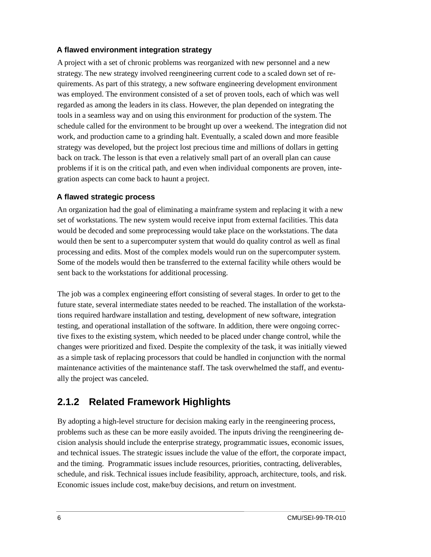#### **A flawed environment integration strategy**

A project with a set of chronic problems was reorganized with new personnel and a new strategy. The new strategy involved reengineering current code to a scaled down set of requirements. As part of this strategy, a new software engineering development environment was employed. The environment consisted of a set of proven tools, each of which was well regarded as among the leaders in its class. However, the plan depended on integrating the tools in a seamless way and on using this environment for production of the system. The schedule called for the environment to be brought up over a weekend. The integration did not work, and production came to a grinding halt. Eventually, a scaled down and more feasible strategy was developed, but the project lost precious time and millions of dollars in getting back on track. The lesson is that even a relatively small part of an overall plan can cause problems if it is on the critical path, and even when individual components are proven, integration aspects can come back to haunt a project.

#### **A flawed strategic process**

An organization had the goal of eliminating a mainframe system and replacing it with a new set of workstations. The new system would receive input from external facilities. This data would be decoded and some preprocessing would take place on the workstations. The data would then be sent to a supercomputer system that would do quality control as well as final processing and edits. Most of the complex models would run on the supercomputer system. Some of the models would then be transferred to the external facility while others would be sent back to the workstations for additional processing.

The job was a complex engineering effort consisting of several stages. In order to get to the future state, several intermediate states needed to be reached. The installation of the workstations required hardware installation and testing, development of new software, integration testing, and operational installation of the software. In addition, there were ongoing corrective fixes to the existing system, which needed to be placed under change control, while the changes were prioritized and fixed. Despite the complexity of the task, it was initially viewed as a simple task of replacing processors that could be handled in conjunction with the normal maintenance activities of the maintenance staff. The task overwhelmed the staff, and eventually the project was canceled.

### **2.1.2 Related Framework Highlights**

By adopting a high-level structure for decision making early in the reengineering process, problems such as these can be more easily avoided. The inputs driving the reengineering decision analysis should include the enterprise strategy, programmatic issues, economic issues, and technical issues. The strategic issues include the value of the effort, the corporate impact, and the timing. Programmatic issues include resources, priorities, contracting, deliverables, schedule, and risk. Technical issues include feasibility, approach, architecture, tools, and risk. Economic issues include cost, make/buy decisions, and return on investment.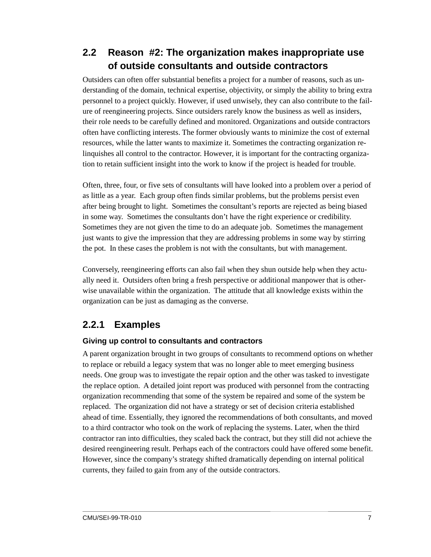### **2.2 Reason #2: The organization makes inappropriate use of outside consultants and outside contractors**

Outsiders can often offer substantial benefits a project for a number of reasons, such as understanding of the domain, technical expertise, objectivity, or simply the ability to bring extra personnel to a project quickly. However, if used unwisely, they can also contribute to the failure of reengineering projects. Since outsiders rarely know the business as well as insiders, their role needs to be carefully defined and monitored. Organizations and outside contractors often have conflicting interests. The former obviously wants to minimize the cost of external resources, while the latter wants to maximize it. Sometimes the contracting organization relinquishes all control to the contractor. However, it is important for the contracting organization to retain sufficient insight into the work to know if the project is headed for trouble.

Often, three, four, or five sets of consultants will have looked into a problem over a period of as little as a year. Each group often finds similar problems, but the problems persist even after being brought to light. Sometimes the consultant's reports are rejected as being biased in some way. Sometimes the consultants don't have the right experience or credibility. Sometimes they are not given the time to do an adequate job. Sometimes the management just wants to give the impression that they are addressing problems in some way by stirring the pot. In these cases the problem is not with the consultants, but with management.

Conversely, reengineering efforts can also fail when they shun outside help when they actually need it. Outsiders often bring a fresh perspective or additional manpower that is otherwise unavailable within the organization. The attitude that all knowledge exists within the organization can be just as damaging as the converse.

### **2.2.1 Examples**

#### **Giving up control to consultants and contractors**

A parent organization brought in two groups of consultants to recommend options on whether to replace or rebuild a legacy system that was no longer able to meet emerging business needs. One group was to investigate the repair option and the other was tasked to investigate the replace option. A detailed joint report was produced with personnel from the contracting organization recommending that some of the system be repaired and some of the system be replaced. The organization did not have a strategy or set of decision criteria established ahead of time. Essentially, they ignored the recommendations of both consultants, and moved to a third contractor who took on the work of replacing the systems. Later, when the third contractor ran into difficulties, they scaled back the contract, but they still did not achieve the desired reengineering result. Perhaps each of the contractors could have offered some benefit. However, since the company's strategy shifted dramatically depending on internal political currents, they failed to gain from any of the outside contractors.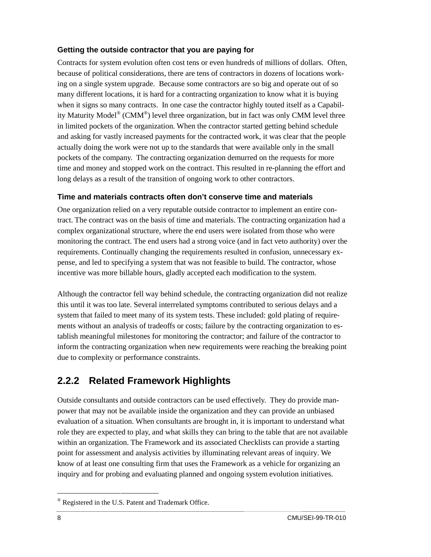#### **Getting the outside contractor that you are paying for**

Contracts for system evolution often cost tens or even hundreds of millions of dollars. Often, because of political considerations, there are tens of contractors in dozens of locations working on a single system upgrade. Because some contractors are so big and operate out of so many different locations, it is hard for a contracting organization to know what it is buying when it signs so many contracts. In one case the contractor highly touted itself as a Capability Maturity Model<sup>®</sup> (CMM<sup>®</sup>) level three organization, but in fact was only CMM level three in limited pockets of the organization. When the contractor started getting behind schedule and asking for vastly increased payments for the contracted work, it was clear that the people actually doing the work were not up to the standards that were available only in the small pockets of the company. The contracting organization demurred on the requests for more time and money and stopped work on the contract. This resulted in re-planning the effort and long delays as a result of the transition of ongoing work to other contractors.

#### **Time and materials contracts often don't conserve time and materials**

One organization relied on a very reputable outside contractor to implement an entire contract. The contract was on the basis of time and materials. The contracting organization had a complex organizational structure, where the end users were isolated from those who were monitoring the contract. The end users had a strong voice (and in fact veto authority) over the requirements. Continually changing the requirements resulted in confusion, unnecessary expense, and led to specifying a system that was not feasible to build. The contractor, whose incentive was more billable hours, gladly accepted each modification to the system.

Although the contractor fell way behind schedule, the contracting organization did not realize this until it was too late. Several interrelated symptoms contributed to serious delays and a system that failed to meet many of its system tests. These included: gold plating of requirements without an analysis of tradeoffs or costs; failure by the contracting organization to establish meaningful milestones for monitoring the contractor; and failure of the contractor to inform the contracting organization when new requirements were reaching the breaking point due to complexity or performance constraints.

### **2.2.2 Related Framework Highlights**

Outside consultants and outside contractors can be used effectively. They do provide manpower that may not be available inside the organization and they can provide an unbiased evaluation of a situation. When consultants are brought in, it is important to understand what role they are expected to play, and what skills they can bring to the table that are not available within an organization. The Framework and its associated Checklists can provide a starting point for assessment and analysis activities by illuminating relevant areas of inquiry. We know of at least one consulting firm that uses the Framework as a vehicle for organizing an inquiry and for probing and evaluating planned and ongoing system evolution initiatives.

 <sup>®</sup> Registered in the U.S. Patent and Trademark Office.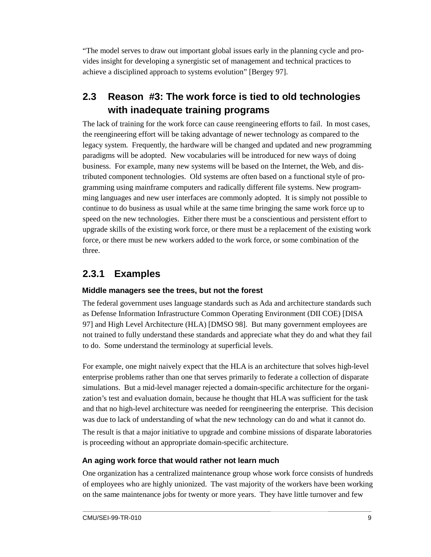"The model serves to draw out important global issues early in the planning cycle and provides insight for developing a synergistic set of management and technical practices to achieve a disciplined approach to systems evolution" [Bergey 97].

### **2.3 Reason #3: The work force is tied to old technologies with inadequate training programs**

The lack of training for the work force can cause reengineering efforts to fail. In most cases, the reengineering effort will be taking advantage of newer technology as compared to the legacy system. Frequently, the hardware will be changed and updated and new programming paradigms will be adopted. New vocabularies will be introduced for new ways of doing business. For example, many new systems will be based on the Internet, the Web, and distributed component technologies. Old systems are often based on a functional style of programming using mainframe computers and radically different file systems. New programming languages and new user interfaces are commonly adopted. It is simply not possible to continue to do business as usual while at the same time bringing the same work force up to speed on the new technologies. Either there must be a conscientious and persistent effort to upgrade skills of the existing work force, or there must be a replacement of the existing work force, or there must be new workers added to the work force, or some combination of the three.

#### **2.3.1 Examples**

#### **Middle managers see the trees, but not the forest**

The federal government uses language standards such as Ada and architecture standards such as Defense Information Infrastructure Common Operating Environment (DII COE) [DISA 97] and High Level Architecture (HLA) [DMSO 98]. But many government employees are not trained to fully understand these standards and appreciate what they do and what they fail to do. Some understand the terminology at superficial levels.

For example, one might naively expect that the HLA is an architecture that solves high-level enterprise problems rather than one that serves primarily to federate a collection of disparate simulations. But a mid-level manager rejected a domain-specific architecture for the organization's test and evaluation domain, because he thought that HLA was sufficient for the task and that no high-level architecture was needed for reengineering the enterprise. This decision was due to lack of understanding of what the new technology can do and what it cannot do.

The result is that a major initiative to upgrade and combine missions of disparate laboratories is proceeding without an appropriate domain-specific architecture.

#### **An aging work force that would rather not learn much**

One organization has a centralized maintenance group whose work force consists of hundreds of employees who are highly unionized. The vast majority of the workers have been working on the same maintenance jobs for twenty or more years. They have little turnover and few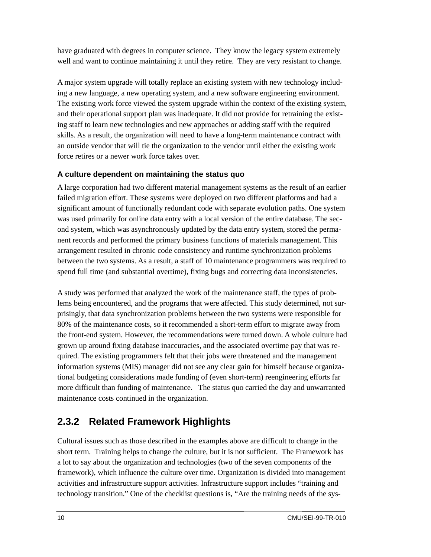have graduated with degrees in computer science. They know the legacy system extremely well and want to continue maintaining it until they retire. They are very resistant to change.

A major system upgrade will totally replace an existing system with new technology including a new language, a new operating system, and a new software engineering environment. The existing work force viewed the system upgrade within the context of the existing system, and their operational support plan was inadequate. It did not provide for retraining the existing staff to learn new technologies and new approaches or adding staff with the required skills. As a result, the organization will need to have a long-term maintenance contract with an outside vendor that will tie the organization to the vendor until either the existing work force retires or a newer work force takes over.

#### **A culture dependent on maintaining the status quo**

A large corporation had two different material management systems as the result of an earlier failed migration effort. These systems were deployed on two different platforms and had a significant amount of functionally redundant code with separate evolution paths. One system was used primarily for online data entry with a local version of the entire database. The second system, which was asynchronously updated by the data entry system, stored the permanent records and performed the primary business functions of materials management. This arrangement resulted in chronic code consistency and runtime synchronization problems between the two systems. As a result, a staff of 10 maintenance programmers was required to spend full time (and substantial overtime), fixing bugs and correcting data inconsistencies.

A study was performed that analyzed the work of the maintenance staff, the types of problems being encountered, and the programs that were affected. This study determined, not surprisingly, that data synchronization problems between the two systems were responsible for 80% of the maintenance costs, so it recommended a short-term effort to migrate away from the front-end system. However, the recommendations were turned down. A whole culture had grown up around fixing database inaccuracies, and the associated overtime pay that was required. The existing programmers felt that their jobs were threatened and the management information systems (MIS) manager did not see any clear gain for himself because organizational budgeting considerations made funding of (even short-term) reengineering efforts far more difficult than funding of maintenance. The status quo carried the day and unwarranted maintenance costs continued in the organization.

### **2.3.2 Related Framework Highlights**

Cultural issues such as those described in the examples above are difficult to change in the short term. Training helps to change the culture, but it is not sufficient. The Framework has a lot to say about the organization and technologies (two of the seven components of the framework), which influence the culture over time. Organization is divided into management activities and infrastructure support activities. Infrastructure support includes "training and technology transition." One of the checklist questions is, "Are the training needs of the sys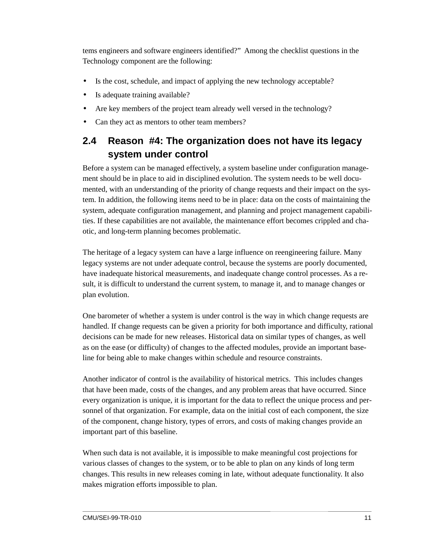tems engineers and software engineers identified?" Among the checklist questions in the Technology component are the following:

- Is the cost, schedule, and impact of applying the new technology acceptable?
- Is adequate training available?
- Are key members of the project team already well versed in the technology?
- Can they act as mentors to other team members?

### **2.4 Reason #4: The organization does not have its legacy system under control**

Before a system can be managed effectively, a system baseline under configuration management should be in place to aid in disciplined evolution. The system needs to be well documented, with an understanding of the priority of change requests and their impact on the system. In addition, the following items need to be in place: data on the costs of maintaining the system, adequate configuration management, and planning and project management capabilities. If these capabilities are not available, the maintenance effort becomes crippled and chaotic, and long-term planning becomes problematic.

The heritage of a legacy system can have a large influence on reengineering failure. Many legacy systems are not under adequate control, because the systems are poorly documented, have inadequate historical measurements, and inadequate change control processes. As a result, it is difficult to understand the current system, to manage it, and to manage changes or plan evolution.

One barometer of whether a system is under control is the way in which change requests are handled. If change requests can be given a priority for both importance and difficulty, rational decisions can be made for new releases. Historical data on similar types of changes, as well as on the ease (or difficulty) of changes to the affected modules, provide an important baseline for being able to make changes within schedule and resource constraints.

Another indicator of control is the availability of historical metrics. This includes changes that have been made, costs of the changes, and any problem areas that have occurred. Since every organization is unique, it is important for the data to reflect the unique process and personnel of that organization. For example, data on the initial cost of each component, the size of the component, change history, types of errors, and costs of making changes provide an important part of this baseline.

When such data is not available, it is impossible to make meaningful cost projections for various classes of changes to the system, or to be able to plan on any kinds of long term changes. This results in new releases coming in late, without adequate functionality. It also makes migration efforts impossible to plan.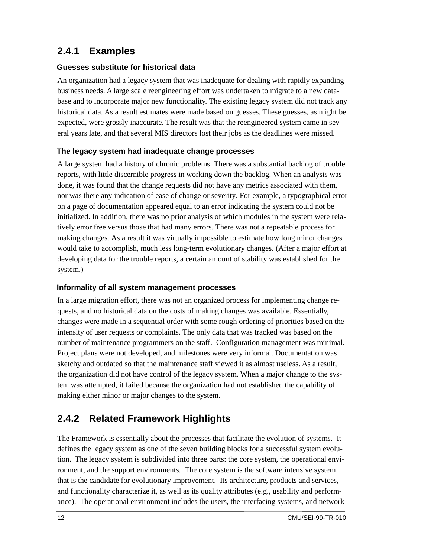### **2.4.1 Examples**

#### **Guesses substitute for historical data**

An organization had a legacy system that was inadequate for dealing with rapidly expanding business needs. A large scale reengineering effort was undertaken to migrate to a new database and to incorporate major new functionality. The existing legacy system did not track any historical data. As a result estimates were made based on guesses. These guesses, as might be expected, were grossly inaccurate. The result was that the reengineered system came in several years late, and that several MIS directors lost their jobs as the deadlines were missed.

#### **The legacy system had inadequate change processes**

A large system had a history of chronic problems. There was a substantial backlog of trouble reports, with little discernible progress in working down the backlog. When an analysis was done, it was found that the change requests did not have any metrics associated with them, nor was there any indication of ease of change or severity. For example, a typographical error on a page of documentation appeared equal to an error indicating the system could not be initialized. In addition, there was no prior analysis of which modules in the system were relatively error free versus those that had many errors. There was not a repeatable process for making changes. As a result it was virtually impossible to estimate how long minor changes would take to accomplish, much less long-term evolutionary changes. (After a major effort at developing data for the trouble reports, a certain amount of stability was established for the system.)

#### **Informality of all system management processes**

In a large migration effort, there was not an organized process for implementing change requests, and no historical data on the costs of making changes was available. Essentially, changes were made in a sequential order with some rough ordering of priorities based on the intensity of user requests or complaints. The only data that was tracked was based on the number of maintenance programmers on the staff. Configuration management was minimal. Project plans were not developed, and milestones were very informal. Documentation was sketchy and outdated so that the maintenance staff viewed it as almost useless. As a result, the organization did not have control of the legacy system. When a major change to the system was attempted, it failed because the organization had not established the capability of making either minor or major changes to the system.

### **2.4.2 Related Framework Highlights**

The Framework is essentially about the processes that facilitate the evolution of systems. It defines the legacy system as one of the seven building blocks for a successful system evolution. The legacy system is subdivided into three parts: the core system, the operational environment, and the support environments. The core system is the software intensive system that is the candidate for evolutionary improvement. Its architecture, products and services, and functionality characterize it, as well as its quality attributes (e.g., usability and performance). The operational environment includes the users, the interfacing systems, and network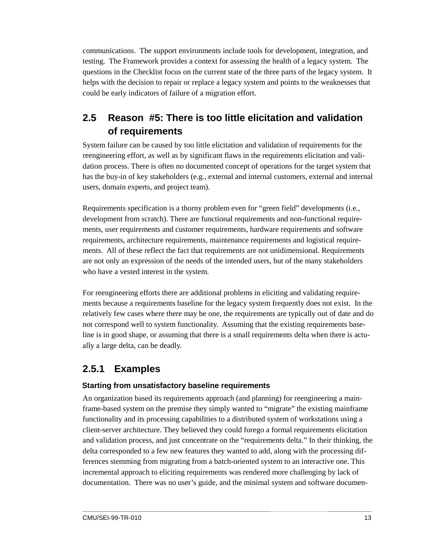communications. The support environments include tools for development, integration, and testing. The Framework provides a context for assessing the health of a legacy system. The questions in the Checklist focus on the current state of the three parts of the legacy system. It helps with the decision to repair or replace a legacy system and points to the weaknesses that could be early indicators of failure of a migration effort.

### **2.5 Reason #5: There is too little elicitation and validation of requirements**

System failure can be caused by too little elicitation and validation of requirements for the reengineering effort, as well as by significant flaws in the requirements elicitation and validation process. There is often no documented concept of operations for the target system that has the buy-in of key stakeholders (e.g., external and internal customers, external and internal users, domain experts, and project team).

Requirements specification is a thorny problem even for "green field" developments (i.e., development from scratch). There are functional requirements and non-functional requirements, user requirements and customer requirements, hardware requirements and software requirements, architecture requirements, maintenance requirements and logistical requirements. All of these reflect the fact that requirements are not unidimensional. Requirements are not only an expression of the needs of the intended users, but of the many stakeholders who have a vested interest in the system.

For reengineering efforts there are additional problems in eliciting and validating requirements because a requirements baseline for the legacy system frequently does not exist. In the relatively few cases where there may be one, the requirements are typically out of date and do not correspond well to system functionality. Assuming that the existing requirements baseline is in good shape, or assuming that there is a small requirements delta when there is actually a large delta, can be deadly.

### **2.5.1 Examples**

#### **Starting from unsatisfactory baseline requirements**

An organization based its requirements approach (and planning) for reengineering a mainframe-based system on the premise they simply wanted to "migrate" the existing mainframe functionality and its processing capabilities to a distributed system of workstations using a client-server architecture. They believed they could forego a formal requirements elicitation and validation process, and just concentrate on the "requirements delta." In their thinking, the delta corresponded to a few new features they wanted to add, along with the processing differences stemming from migrating from a batch-oriented system to an interactive one. This incremental approach to eliciting requirements was rendered more challenging by lack of documentation. There was no user's guide, and the minimal system and software documen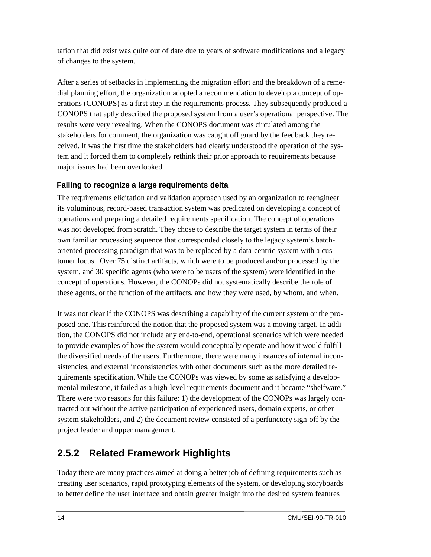tation that did exist was quite out of date due to years of software modifications and a legacy of changes to the system.

After a series of setbacks in implementing the migration effort and the breakdown of a remedial planning effort, the organization adopted a recommendation to develop a concept of operations (CONOPS) as a first step in the requirements process. They subsequently produced a CONOPS that aptly described the proposed system from a user's operational perspective. The results were very revealing. When the CONOPS document was circulated among the stakeholders for comment, the organization was caught off guard by the feedback they received. It was the first time the stakeholders had clearly understood the operation of the system and it forced them to completely rethink their prior approach to requirements because major issues had been overlooked.

#### **Failing to recognize a large requirements delta**

The requirements elicitation and validation approach used by an organization to reengineer its voluminous, record-based transaction system was predicated on developing a concept of operations and preparing a detailed requirements specification. The concept of operations was not developed from scratch. They chose to describe the target system in terms of their own familiar processing sequence that corresponded closely to the legacy system's batchoriented processing paradigm that was to be replaced by a data-centric system with a customer focus. Over 75 distinct artifacts, which were to be produced and/or processed by the system, and 30 specific agents (who were to be users of the system) were identified in the concept of operations. However, the CONOPs did not systematically describe the role of these agents, or the function of the artifacts, and how they were used, by whom, and when.

It was not clear if the CONOPS was describing a capability of the current system or the proposed one. This reinforced the notion that the proposed system was a moving target. In addition, the CONOPS did not include any end-to-end, operational scenarios which were needed to provide examples of how the system would conceptually operate and how it would fulfill the diversified needs of the users. Furthermore, there were many instances of internal inconsistencies, and external inconsistencies with other documents such as the more detailed requirements specification. While the CONOPs was viewed by some as satisfying a developmental milestone, it failed as a high-level requirements document and it became "shelfware." There were two reasons for this failure: 1) the development of the CONOPs was largely contracted out without the active participation of experienced users, domain experts, or other system stakeholders, and 2) the document review consisted of a perfunctory sign-off by the project leader and upper management.

### **2.5.2 Related Framework Highlights**

Today there are many practices aimed at doing a better job of defining requirements such as creating user scenarios, rapid prototyping elements of the system, or developing storyboards to better define the user interface and obtain greater insight into the desired system features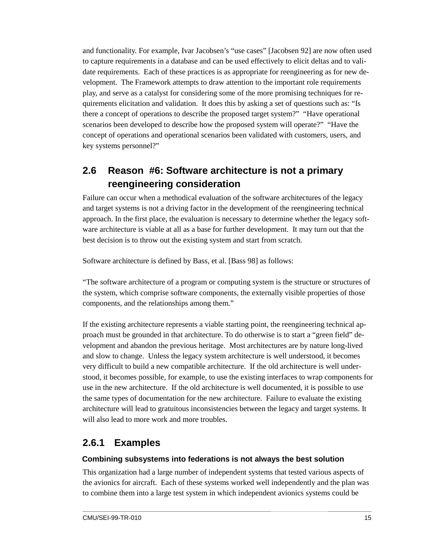and functionality. For example, Ivar Jacobsen's "use cases" [Jacobsen 92] are now often used to capture requirements in a database and can be used effectively to elicit deltas and to validate requirements. Each of these practices is as appropriate for reengineering as for new development. The Framework attempts to draw attention to the important role requirements play, and serve as a catalyst for considering some of the more promising techniques for requirements elicitation and validation. It does this by asking a set of questions such as: "Is there a concept of operations to describe the proposed target system?" "Have operational scenarios been developed to describe how the proposed system will operate?" "Have the concept of operations and operational scenarios been validated with customers, users, and key systems personnel?"

### **2.6 Reason #6: Software architecture is not a primary reengineering consideration**

Failure can occur when a methodical evaluation of the software architectures of the legacy and target systems is not a driving factor in the development of the reengineering technical approach. In the first place, the evaluation is necessary to determine whether the legacy software architecture is viable at all as a base for further development. It may turn out that the best decision is to throw out the existing system and start from scratch.

Software architecture is defined by Bass, et al. [Bass 98] as follows:

"The software architecture of a program or computing system is the structure or structures of the system, which comprise software components, the externally visible properties of those components, and the relationships among them."

If the existing architecture represents a viable starting point, the reengineering technical approach must be grounded in that architecture. To do otherwise is to start a "green field" development and abandon the previous heritage. Most architectures are by nature long-lived and slow to change. Unless the legacy system architecture is well understood, it becomes very difficult to build a new compatible architecture. If the old architecture is well understood, it becomes possible, for example, to use the existing interfaces to wrap components for use in the new architecture. If the old architecture is well documented, it is possible to use the same types of documentation for the new architecture. Failure to evaluate the existing architecture will lead to gratuitous inconsistencies between the legacy and target systems. It will also lead to more work and more troubles.

### **2.6.1 Examples**

#### **Combining subsystems into federations is not always the best solution**

This organization had a large number of independent systems that tested various aspects of the avionics for aircraft. Each of these systems worked well independently and the plan was to combine them into a large test system in which independent avionics systems could be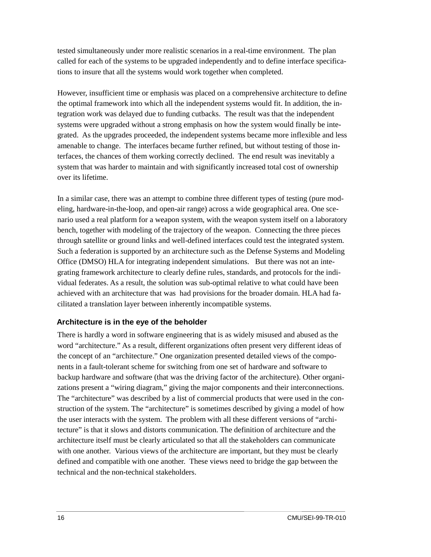tested simultaneously under more realistic scenarios in a real-time environment. The plan called for each of the systems to be upgraded independently and to define interface specifications to insure that all the systems would work together when completed.

However, insufficient time or emphasis was placed on a comprehensive architecture to define the optimal framework into which all the independent systems would fit. In addition, the integration work was delayed due to funding cutbacks. The result was that the independent systems were upgraded without a strong emphasis on how the system would finally be integrated. As the upgrades proceeded, the independent systems became more inflexible and less amenable to change. The interfaces became further refined, but without testing of those interfaces, the chances of them working correctly declined. The end result was inevitably a system that was harder to maintain and with significantly increased total cost of ownership over its lifetime.

In a similar case, there was an attempt to combine three different types of testing (pure modeling, hardware-in-the-loop, and open-air range) across a wide geographical area. One scenario used a real platform for a weapon system, with the weapon system itself on a laboratory bench, together with modeling of the trajectory of the weapon. Connecting the three pieces through satellite or ground links and well-defined interfaces could test the integrated system. Such a federation is supported by an architecture such as the Defense Systems and Modeling Office (DMSO) HLA for integrating independent simulations. But there was not an integrating framework architecture to clearly define rules, standards, and protocols for the individual federates. As a result, the solution was sub-optimal relative to what could have been achieved with an architecture that was had provisions for the broader domain. HLA had facilitated a translation layer between inherently incompatible systems.

#### **Architecture is in the eye of the beholder**

There is hardly a word in software engineering that is as widely misused and abused as the word "architecture." As a result, different organizations often present very different ideas of the concept of an "architecture." One organization presented detailed views of the components in a fault-tolerant scheme for switching from one set of hardware and software to backup hardware and software (that was the driving factor of the architecture). Other organizations present a "wiring diagram," giving the major components and their interconnections. The "architecture" was described by a list of commercial products that were used in the construction of the system. The "architecture" is sometimes described by giving a model of how the user interacts with the system. The problem with all these different versions of "architecture" is that it slows and distorts communication. The definition of architecture and the architecture itself must be clearly articulated so that all the stakeholders can communicate with one another. Various views of the architecture are important, but they must be clearly defined and compatible with one another. These views need to bridge the gap between the technical and the non-technical stakeholders.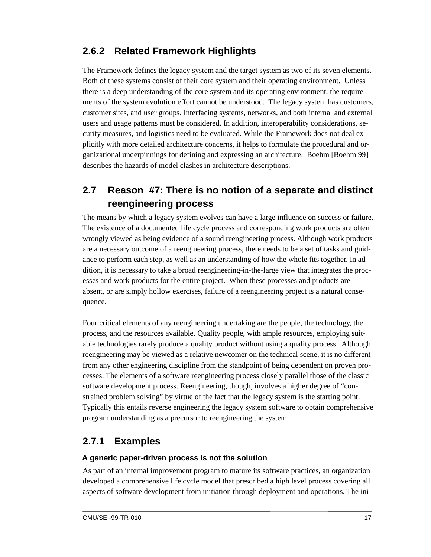### **2.6.2 Related Framework Highlights**

The Framework defines the legacy system and the target system as two of its seven elements. Both of these systems consist of their core system and their operating environment. Unless there is a deep understanding of the core system and its operating environment, the requirements of the system evolution effort cannot be understood. The legacy system has customers, customer sites, and user groups. Interfacing systems, networks, and both internal and external users and usage patterns must be considered. In addition, interoperability considerations, security measures, and logistics need to be evaluated. While the Framework does not deal explicitly with more detailed architecture concerns, it helps to formulate the procedural and organizational underpinnings for defining and expressing an architecture. Boehm [Boehm 99] describes the hazards of model clashes in architecture descriptions.

### **2.7 Reason #7: There is no notion of a separate and distinct reengineering process**

The means by which a legacy system evolves can have a large influence on success or failure. The existence of a documented life cycle process and corresponding work products are often wrongly viewed as being evidence of a sound reengineering process. Although work products are a necessary outcome of a reengineering process, there needs to be a set of tasks and guidance to perform each step, as well as an understanding of how the whole fits together. In addition, it is necessary to take a broad reengineering-in-the-large view that integrates the processes and work products for the entire project. When these processes and products are absent, or are simply hollow exercises, failure of a reengineering project is a natural consequence.

Four critical elements of any reengineering undertaking are the people, the technology, the process, and the resources available. Quality people, with ample resources, employing suitable technologies rarely produce a quality product without using a quality process. Although reengineering may be viewed as a relative newcomer on the technical scene, it is no different from any other engineering discipline from the standpoint of being dependent on proven processes. The elements of a software reengineering process closely parallel those of the classic software development process. Reengineering, though, involves a higher degree of "constrained problem solving" by virtue of the fact that the legacy system is the starting point. Typically this entails reverse engineering the legacy system software to obtain comprehensive program understanding as a precursor to reengineering the system.

#### **2.7.1 Examples**

#### **A generic paper-driven process is not the solution**

As part of an internal improvement program to mature its software practices, an organization developed a comprehensive life cycle model that prescribed a high level process covering all aspects of software development from initiation through deployment and operations. The ini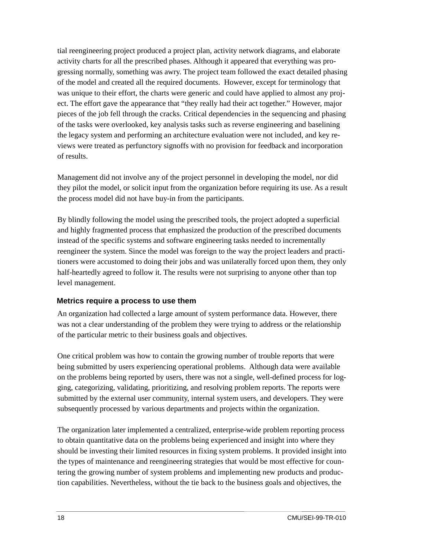tial reengineering project produced a project plan, activity network diagrams, and elaborate activity charts for all the prescribed phases. Although it appeared that everything was progressing normally, something was awry. The project team followed the exact detailed phasing of the model and created all the required documents. However, except for terminology that was unique to their effort, the charts were generic and could have applied to almost any project. The effort gave the appearance that "they really had their act together." However, major pieces of the job fell through the cracks. Critical dependencies in the sequencing and phasing of the tasks were overlooked, key analysis tasks such as reverse engineering and baselining the legacy system and performing an architecture evaluation were not included, and key reviews were treated as perfunctory signoffs with no provision for feedback and incorporation of results.

Management did not involve any of the project personnel in developing the model, nor did they pilot the model, or solicit input from the organization before requiring its use. As a result the process model did not have buy-in from the participants.

By blindly following the model using the prescribed tools, the project adopted a superficial and highly fragmented process that emphasized the production of the prescribed documents instead of the specific systems and software engineering tasks needed to incrementally reengineer the system. Since the model was foreign to the way the project leaders and practitioners were accustomed to doing their jobs and was unilaterally forced upon them, they only half-heartedly agreed to follow it. The results were not surprising to anyone other than top level management.

#### **Metrics require a process to use them**

An organization had collected a large amount of system performance data. However, there was not a clear understanding of the problem they were trying to address or the relationship of the particular metric to their business goals and objectives.

One critical problem was how to contain the growing number of trouble reports that were being submitted by users experiencing operational problems. Although data were available on the problems being reported by users, there was not a single, well-defined process for logging, categorizing, validating, prioritizing, and resolving problem reports. The reports were submitted by the external user community, internal system users, and developers. They were subsequently processed by various departments and projects within the organization.

The organization later implemented a centralized, enterprise-wide problem reporting process to obtain quantitative data on the problems being experienced and insight into where they should be investing their limited resources in fixing system problems. It provided insight into the types of maintenance and reengineering strategies that would be most effective for countering the growing number of system problems and implementing new products and production capabilities. Nevertheless, without the tie back to the business goals and objectives, the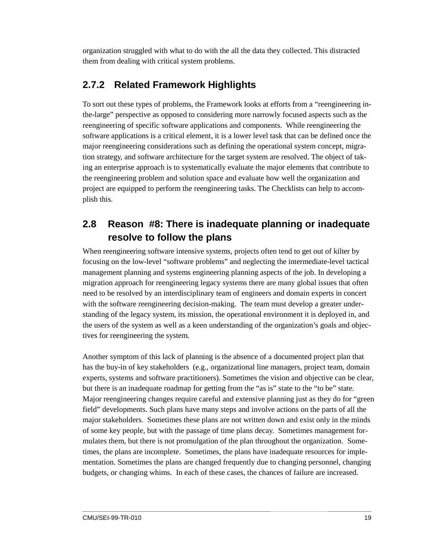organization struggled with what to do with the all the data they collected. This distracted them from dealing with critical system problems.

### **2.7.2 Related Framework Highlights**

To sort out these types of problems, the Framework looks at efforts from a "reengineering inthe-large" perspective as opposed to considering more narrowly focused aspects such as the reengineering of specific software applications and components. While reengineering the software applications is a critical element, it is a lower level task that can be defined once the major reengineering considerations such as defining the operational system concept, migration strategy, and software architecture for the target system are resolved. The object of taking an enterprise approach is to systematically evaluate the major elements that contribute to the reengineering problem and solution space and evaluate how well the organization and project are equipped to perform the reengineering tasks. The Checklists can help to accomplish this.

### **2.8 Reason #8: There is inadequate planning or inadequate resolve to follow the plans**

When reengineering software intensive systems, projects often tend to get out of kilter by focusing on the low-level "software problems" and neglecting the intermediate-level tactical management planning and systems engineering planning aspects of the job. In developing a migration approach for reengineering legacy systems there are many global issues that often need to be resolved by an interdisciplinary team of engineers and domain experts in concert with the software reengineering decision-making. The team must develop a greater understanding of the legacy system, its mission, the operational environment it is deployed in, and the users of the system as well as a keen understanding of the organization's goals and objectives for reengineering the system.

Another symptom of this lack of planning is the absence of a documented project plan that has the buy-in of key stakeholders (e.g., organizational line managers, project team, domain experts, systems and software practitioners). Sometimes the vision and objective can be clear, but there is an inadequate roadmap for getting from the "as is" state to the "to be" state. Major reengineering changes require careful and extensive planning just as they do for "green field" developments. Such plans have many steps and involve actions on the parts of all the major stakeholders. Sometimes these plans are not written down and exist only in the minds of some key people, but with the passage of time plans decay. Sometimes management formulates them, but there is not promulgation of the plan throughout the organization. Sometimes, the plans are incomplete. Sometimes, the plans have inadequate resources for implementation. Sometimes the plans are changed frequently due to changing personnel, changing budgets, or changing whims. In each of these cases, the chances of failure are increased.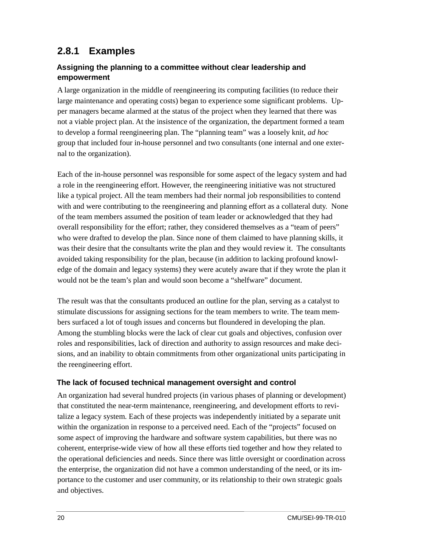### **2.8.1 Examples**

#### **Assigning the planning to a committee without clear leadership and empowerment**

A large organization in the middle of reengineering its computing facilities (to reduce their large maintenance and operating costs) began to experience some significant problems. Upper managers became alarmed at the status of the project when they learned that there was not a viable project plan. At the insistence of the organization, the department formed a team to develop a formal reengineering plan. The "planning team" was a loosely knit, *ad hoc* group that included four in-house personnel and two consultants (one internal and one external to the organization).

Each of the in-house personnel was responsible for some aspect of the legacy system and had a role in the reengineering effort. However, the reengineering initiative was not structured like a typical project. All the team members had their normal job responsibilities to contend with and were contributing to the reengineering and planning effort as a collateral duty. None of the team members assumed the position of team leader or acknowledged that they had overall responsibility for the effort; rather, they considered themselves as a "team of peers" who were drafted to develop the plan. Since none of them claimed to have planning skills, it was their desire that the consultants write the plan and they would review it. The consultants avoided taking responsibility for the plan, because (in addition to lacking profound knowledge of the domain and legacy systems) they were acutely aware that if they wrote the plan it would not be the team's plan and would soon become a "shelfware" document.

The result was that the consultants produced an outline for the plan, serving as a catalyst to stimulate discussions for assigning sections for the team members to write. The team members surfaced a lot of tough issues and concerns but floundered in developing the plan. Among the stumbling blocks were the lack of clear cut goals and objectives, confusion over roles and responsibilities, lack of direction and authority to assign resources and make decisions, and an inability to obtain commitments from other organizational units participating in the reengineering effort.

#### **The lack of focused technical management oversight and control**

An organization had several hundred projects (in various phases of planning or development) that constituted the near-term maintenance, reengineering, and development efforts to revitalize a legacy system. Each of these projects was independently initiated by a separate unit within the organization in response to a perceived need. Each of the "projects" focused on some aspect of improving the hardware and software system capabilities, but there was no coherent, enterprise-wide view of how all these efforts tied together and how they related to the operational deficiencies and needs. Since there was little oversight or coordination across the enterprise, the organization did not have a common understanding of the need, or its importance to the customer and user community, or its relationship to their own strategic goals and objectives.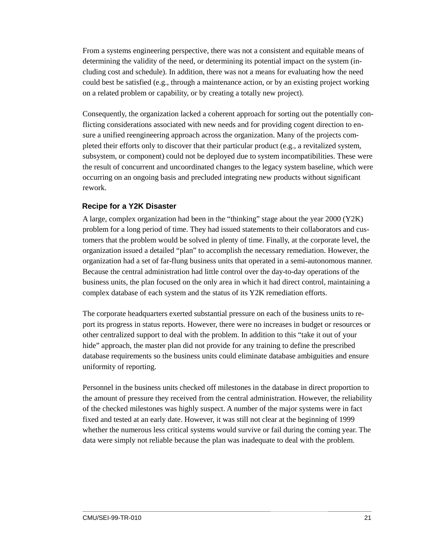From a systems engineering perspective, there was not a consistent and equitable means of determining the validity of the need, or determining its potential impact on the system (including cost and schedule). In addition, there was not a means for evaluating how the need could best be satisfied (e.g., through a maintenance action, or by an existing project working on a related problem or capability, or by creating a totally new project).

Consequently, the organization lacked a coherent approach for sorting out the potentially conflicting considerations associated with new needs and for providing cogent direction to ensure a unified reengineering approach across the organization. Many of the projects completed their efforts only to discover that their particular product (e.g., a revitalized system, subsystem, or component) could not be deployed due to system incompatibilities. These were the result of concurrent and uncoordinated changes to the legacy system baseline, which were occurring on an ongoing basis and precluded integrating new products without significant rework.

#### **Recipe for a Y2K Disaster**

A large, complex organization had been in the "thinking" stage about the year 2000 (Y2K) problem for a long period of time. They had issued statements to their collaborators and customers that the problem would be solved in plenty of time. Finally, at the corporate level, the organization issued a detailed "plan" to accomplish the necessary remediation. However, the organization had a set of far-flung business units that operated in a semi-autonomous manner. Because the central administration had little control over the day-to-day operations of the business units, the plan focused on the only area in which it had direct control, maintaining a complex database of each system and the status of its Y2K remediation efforts.

The corporate headquarters exerted substantial pressure on each of the business units to report its progress in status reports. However, there were no increases in budget or resources or other centralized support to deal with the problem. In addition to this "take it out of your hide" approach, the master plan did not provide for any training to define the prescribed database requirements so the business units could eliminate database ambiguities and ensure uniformity of reporting.

Personnel in the business units checked off milestones in the database in direct proportion to the amount of pressure they received from the central administration. However, the reliability of the checked milestones was highly suspect. A number of the major systems were in fact fixed and tested at an early date. However, it was still not clear at the beginning of 1999 whether the numerous less critical systems would survive or fail during the coming year. The data were simply not reliable because the plan was inadequate to deal with the problem.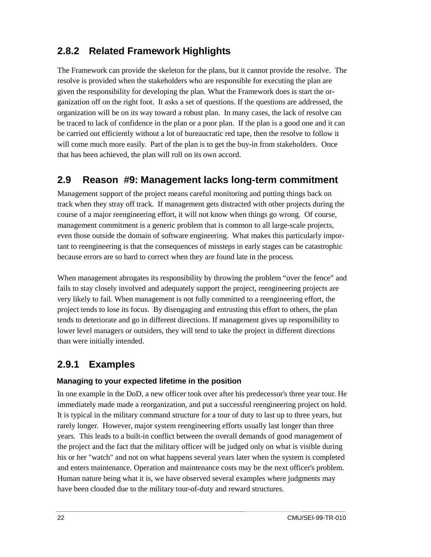### **2.8.2 Related Framework Highlights**

The Framework can provide the skeleton for the plans, but it cannot provide the resolve. The resolve is provided when the stakeholders who are responsible for executing the plan are given the responsibility for developing the plan. What the Framework does is start the organization off on the right foot. It asks a set of questions. If the questions are addressed, the organization will be on its way toward a robust plan. In many cases, the lack of resolve can be traced to lack of confidence in the plan or a poor plan. If the plan is a good one and it can be carried out efficiently without a lot of bureaucratic red tape, then the resolve to follow it will come much more easily. Part of the plan is to get the buy-in from stakeholders. Once that has been achieved, the plan will roll on its own accord.

#### **2.9 Reason #9: Management lacks long-term commitment**

Management support of the project means careful monitoring and putting things back on track when they stray off track. If management gets distracted with other projects during the course of a major reengineering effort, it will not know when things go wrong. Of course, management commitment is a generic problem that is common to all large-scale projects, even those outside the domain of software engineering. What makes this particularly important to reengineering is that the consequences of missteps in early stages can be catastrophic because errors are so hard to correct when they are found late in the process.

When management abrogates its responsibility by throwing the problem "over the fence" and fails to stay closely involved and adequately support the project, reengineering projects are very likely to fail. When management is not fully committed to a reengineering effort, the project tends to lose its focus. By disengaging and entrusting this effort to others, the plan tends to deteriorate and go in different directions. If management gives up responsibility to lower level managers or outsiders, they will tend to take the project in different directions than were initially intended.

### **2.9.1 Examples**

#### **Managing to your expected lifetime in the position**

In one example in the DoD, a new officer took over after his predecessor's three year tour. He immediately made made a reorganization, and put a successful reengineering project on hold. It is typical in the military command structure for a tour of duty to last up to three years, but rarely longer. However, major system reengineering efforts usually last longer than three years. This leads to a built-in conflict between the overall demands of good management of the project and the fact that the military officer will be judged only on what is visible during his or her "watch" and not on what happens several years later when the system is completed and enters maintenance. Operation and maintenance costs may be the next officer's problem. Human nature being what it is, we have observed several examples where judgments may have been clouded due to the military tour-of-duty and reward structures.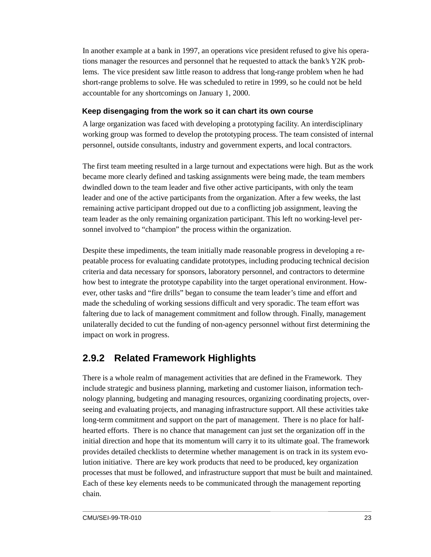In another example at a bank in 1997, an operations vice president refused to give his operations manager the resources and personnel that he requested to attack the bank's Y2K problems. The vice president saw little reason to address that long-range problem when he had short-range problems to solve. He was scheduled to retire in 1999, so he could not be held accountable for any shortcomings on January 1, 2000.

#### **Keep disengaging from the work so it can chart its own course**

A large organization was faced with developing a prototyping facility. An interdisciplinary working group was formed to develop the prototyping process. The team consisted of internal personnel, outside consultants, industry and government experts, and local contractors.

The first team meeting resulted in a large turnout and expectations were high. But as the work became more clearly defined and tasking assignments were being made, the team members dwindled down to the team leader and five other active participants, with only the team leader and one of the active participants from the organization. After a few weeks, the last remaining active participant dropped out due to a conflicting job assignment, leaving the team leader as the only remaining organization participant. This left no working-level personnel involved to "champion" the process within the organization.

Despite these impediments, the team initially made reasonable progress in developing a repeatable process for evaluating candidate prototypes, including producing technical decision criteria and data necessary for sponsors, laboratory personnel, and contractors to determine how best to integrate the prototype capability into the target operational environment. However, other tasks and "fire drills" began to consume the team leader's time and effort and made the scheduling of working sessions difficult and very sporadic. The team effort was faltering due to lack of management commitment and follow through. Finally, management unilaterally decided to cut the funding of non-agency personnel without first determining the impact on work in progress.

### **2.9.2 Related Framework Highlights**

There is a whole realm of management activities that are defined in the Framework. They include strategic and business planning, marketing and customer liaison, information technology planning, budgeting and managing resources, organizing coordinating projects, overseeing and evaluating projects, and managing infrastructure support. All these activities take long-term commitment and support on the part of management. There is no place for halfhearted efforts. There is no chance that management can just set the organization off in the initial direction and hope that its momentum will carry it to its ultimate goal. The framework provides detailed checklists to determine whether management is on track in its system evolution initiative. There are key work products that need to be produced, key organization processes that must be followed, and infrastructure support that must be built and maintained. Each of these key elements needs to be communicated through the management reporting chain.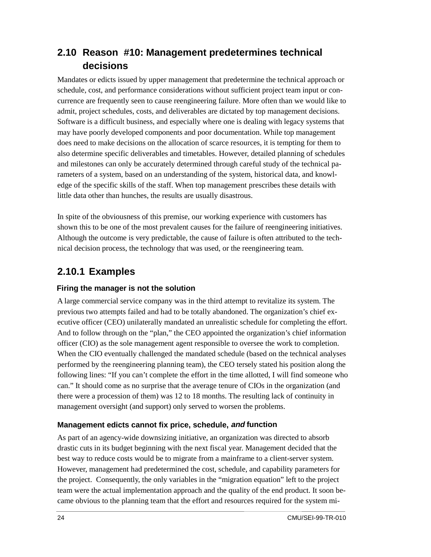### **2.10 Reason #10: Management predetermines technical decisions**

Mandates or edicts issued by upper management that predetermine the technical approach or schedule, cost, and performance considerations without sufficient project team input or concurrence are frequently seen to cause reengineering failure. More often than we would like to admit, project schedules, costs, and deliverables are dictated by top management decisions. Software is a difficult business, and especially where one is dealing with legacy systems that may have poorly developed components and poor documentation. While top management does need to make decisions on the allocation of scarce resources, it is tempting for them to also determine specific deliverables and timetables. However, detailed planning of schedules and milestones can only be accurately determined through careful study of the technical parameters of a system, based on an understanding of the system, historical data, and knowledge of the specific skills of the staff. When top management prescribes these details with little data other than hunches, the results are usually disastrous.

In spite of the obviousness of this premise, our working experience with customers has shown this to be one of the most prevalent causes for the failure of reengineering initiatives. Although the outcome is very predictable, the cause of failure is often attributed to the technical decision process, the technology that was used, or the reengineering team.

### **2.10.1 Examples**

#### **Firing the manager is not the solution**

A large commercial service company was in the third attempt to revitalize its system. The previous two attempts failed and had to be totally abandoned. The organization's chief executive officer (CEO) unilaterally mandated an unrealistic schedule for completing the effort. And to follow through on the "plan," the CEO appointed the organization's chief information officer (CIO) as the sole management agent responsible to oversee the work to completion. When the CIO eventually challenged the mandated schedule (based on the technical analyses performed by the reengineering planning team), the CEO tersely stated his position along the following lines: "If you can't complete the effort in the time allotted, I will find someone who can." It should come as no surprise that the average tenure of CIOs in the organization (and there were a procession of them) was 12 to 18 months. The resulting lack of continuity in management oversight (and support) only served to worsen the problems.

#### **Management edicts cannot fix price, schedule, and function**

As part of an agency-wide downsizing initiative, an organization was directed to absorb drastic cuts in its budget beginning with the next fiscal year. Management decided that the best way to reduce costs would be to migrate from a mainframe to a client-server system. However, management had predetermined the cost, schedule, and capability parameters for the project. Consequently, the only variables in the "migration equation" left to the project team were the actual implementation approach and the quality of the end product. It soon became obvious to the planning team that the effort and resources required for the system mi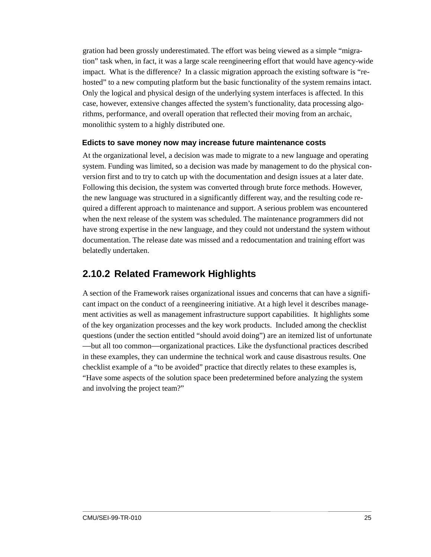gration had been grossly underestimated. The effort was being viewed as a simple "migration" task when, in fact, it was a large scale reengineering effort that would have agency-wide impact. What is the difference? In a classic migration approach the existing software is "rehosted" to a new computing platform but the basic functionality of the system remains intact. Only the logical and physical design of the underlying system interfaces is affected. In this case, however, extensive changes affected the system's functionality, data processing algorithms, performance, and overall operation that reflected their moving from an archaic, monolithic system to a highly distributed one.

#### **Edicts to save money now may increase future maintenance costs**

At the organizational level, a decision was made to migrate to a new language and operating system. Funding was limited, so a decision was made by management to do the physical conversion first and to try to catch up with the documentation and design issues at a later date. Following this decision, the system was converted through brute force methods. However, the new language was structured in a significantly different way, and the resulting code required a different approach to maintenance and support. A serious problem was encountered when the next release of the system was scheduled. The maintenance programmers did not have strong expertise in the new language, and they could not understand the system without documentation. The release date was missed and a redocumentation and training effort was belatedly undertaken.

#### **2.10.2 Related Framework Highlights**

A section of the Framework raises organizational issues and concerns that can have a significant impact on the conduct of a reengineering initiative. At a high level it describes management activities as well as management infrastructure support capabilities. It highlights some of the key organization processes and the key work products. Included among the checklist questions (under the section entitled "should avoid doing") are an itemized list of unfortunate —but all too common—organizational practices. Like the dysfunctional practices described in these examples, they can undermine the technical work and cause disastrous results. One checklist example of a "to be avoided" practice that directly relates to these examples is, "Have some aspects of the solution space been predetermined before analyzing the system and involving the project team?"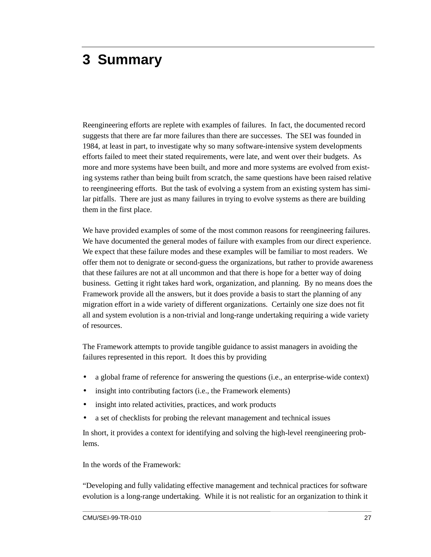## <span id="page-32-0"></span>**3 Summary**

Reengineering efforts are replete with examples of failures. In fact, the documented record suggests that there are far more failures than there are successes. The SEI was founded in 1984, at least in part, to investigate why so many software-intensive system developments efforts failed to meet their stated requirements, were late, and went over their budgets. As more and more systems have been built, and more and more systems are evolved from existing systems rather than being built from scratch, the same questions have been raised relative to reengineering efforts. But the task of evolving a system from an existing system has similar pitfalls. There are just as many failures in trying to evolve systems as there are building them in the first place.

We have provided examples of some of the most common reasons for reengineering failures. We have documented the general modes of failure with examples from our direct experience. We expect that these failure modes and these examples will be familiar to most readers. We offer them not to denigrate or second-guess the organizations, but rather to provide awareness that these failures are not at all uncommon and that there is hope for a better way of doing business. Getting it right takes hard work, organization, and planning. By no means does the Framework provide all the answers, but it does provide a basis to start the planning of any migration effort in a wide variety of different organizations. Certainly one size does not fit all and system evolution is a non-trivial and long-range undertaking requiring a wide variety of resources.

The Framework attempts to provide tangible guidance to assist managers in avoiding the failures represented in this report. It does this by providing

- a global frame of reference for answering the questions (i.e., an enterprise-wide context)
- insight into contributing factors (i.e., the Framework elements)
- insight into related activities, practices, and work products
- a set of checklists for probing the relevant management and technical issues

In short, it provides a context for identifying and solving the high-level reengineering problems.

In the words of the Framework:

"Developing and fully validating effective management and technical practices for software evolution is a long-range undertaking. While it is not realistic for an organization to think it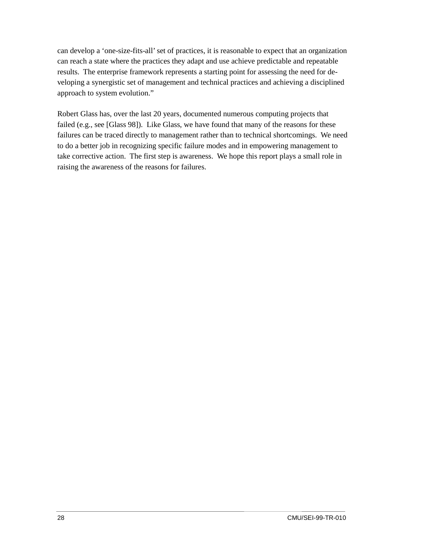can develop a 'one-size-fits-all' set of practices, it is reasonable to expect that an organization can reach a state where the practices they adapt and use achieve predictable and repeatable results. The enterprise framework represents a starting point for assessing the need for developing a synergistic set of management and technical practices and achieving a disciplined approach to system evolution."

Robert Glass has, over the last 20 years, documented numerous computing projects that failed (e.g., see [Glass 98]). Like Glass, we have found that many of the reasons for these failures can be traced directly to management rather than to technical shortcomings. We need to do a better job in recognizing specific failure modes and in empowering management to take corrective action. The first step is awareness. We hope this report plays a small role in raising the awareness of the reasons for failures.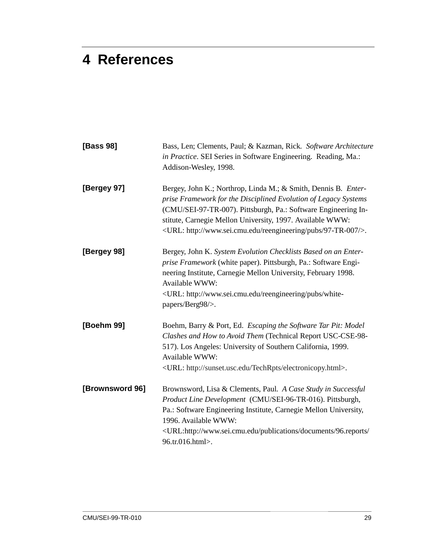## <span id="page-34-0"></span>**4 References**

| [Bass 98]       | Bass, Len; Clements, Paul; & Kazman, Rick. Software Architecture<br>in Practice. SEI Series in Software Engineering. Reading, Ma.:<br>Addison-Wesley, 1998.                                                                                                                                                                                           |  |  |  |  |
|-----------------|-------------------------------------------------------------------------------------------------------------------------------------------------------------------------------------------------------------------------------------------------------------------------------------------------------------------------------------------------------|--|--|--|--|
| [Bergey 97]     | Bergey, John K.; Northrop, Linda M.; & Smith, Dennis B. Enter-<br>prise Framework for the Disciplined Evolution of Legacy Systems<br>(CMU/SEI-97-TR-007). Pittsburgh, Pa.: Software Engineering In-<br>stitute, Carnegie Mellon University, 1997. Available WWW:<br><url: 97-tr-007="" http:="" pubs="" reengineering="" www.sei.cmu.edu=""></url:> . |  |  |  |  |
| [Bergey 98]     | Bergey, John K. System Evolution Checklists Based on an Enter-<br>prise Framework (white paper). Pittsburgh, Pa.: Software Engi-<br>neering Institute, Carnegie Mellon University, February 1998.<br>Available WWW:<br><url: http:="" pubs="" reengineering="" white-<br="" www.sei.cmu.edu="">papers/Berg98/&gt;.</url:>                             |  |  |  |  |
| [Boehm 99]      | Boehm, Barry & Port, Ed. Escaping the Software Tar Pit: Model<br>Clashes and How to Avoid Them (Technical Report USC-CSE-98-<br>517). Los Angeles: University of Southern California, 1999.<br>Available WWW:<br><url: electronicopy.html="" http:="" sunset.usc.edu="" techrpts="">.</url:>                                                          |  |  |  |  |
| [Brownsword 96] | Brownsword, Lisa & Clements, Paul. A Case Study in Successful<br>Product Line Development (CMU/SEI-96-TR-016). Pittsburgh,<br>Pa.: Software Engineering Institute, Carnegie Mellon University,<br>1996. Available WWW:<br><url:http: 96.reports="" <br="" documents="" publications="" www.sei.cmu.edu="">96.tr.016.html&gt;.</url:http:>             |  |  |  |  |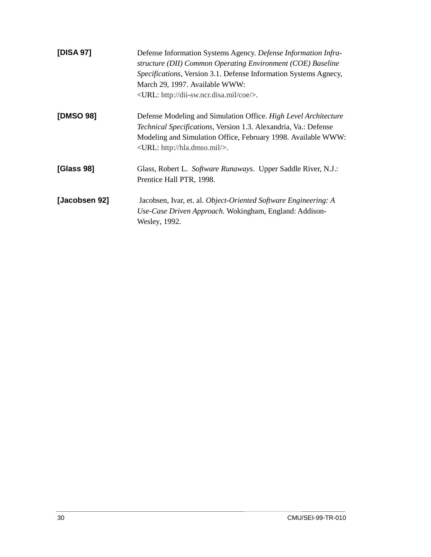| [DISA 97]     | Defense Information Systems Agency. Defense Information Infra-<br>structure (DII) Common Operating Environment (COE) Baseline<br>Specifications, Version 3.1. Defense Information Systems Agnecy,<br>March 29, 1997. Available WWW:<br><url: coe="" dii-sw.ncr.disa.mil="" http:=""></url:> . |  |  |  |  |
|---------------|-----------------------------------------------------------------------------------------------------------------------------------------------------------------------------------------------------------------------------------------------------------------------------------------------|--|--|--|--|
| [DMSO 98]     | Defense Modeling and Simulation Office. High Level Architecture<br><i>Technical Specifications, Version 1.3. Alexandria, Va.: Defense</i><br>Modeling and Simulation Office, February 1998. Available WWW:<br><url: hla.dmso.mil="" http:=""></url:> .                                        |  |  |  |  |
| [Glass 98]    | Glass, Robert L. Software Runaways. Upper Saddle River, N.J.:<br>Prentice Hall PTR, 1998.                                                                                                                                                                                                     |  |  |  |  |
| [Jacobsen 92] | Jacobsen, Ivar, et. al. Object-Oriented Software Engineering: A<br>Use-Case Driven Approach. Wokingham, England: Addison-<br>Wesley, 1992.                                                                                                                                                    |  |  |  |  |